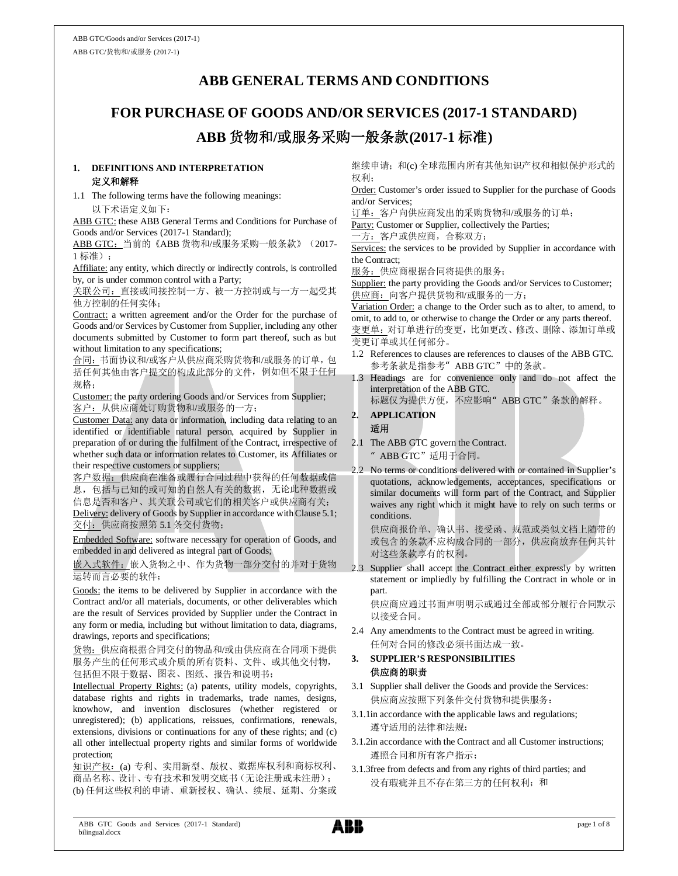## **ABB GENERAL TERMS AND CONDITIONS**

# **FOR PURCHASE OF GOODS AND/OR SERVICES (2017-1 STANDARD) ABB** 货物和**/**或服务采购一般条款**(2017-1** 标准**)**

#### **1. DEFINITIONS AND INTERPRETATION** 定义和解释

1.1 The following terms have the following meanings: 以下术语定义如下:

ABB GTC: these ABB General Terms and Conditions for Purchase of Goods and/or Services (2017-1 Standard);

ABB GTC: 当前的《ABB 货物和/或服务采购一般条款》(2017-1 标准);

Affiliate: any entity, which directly or indirectly controls, is controlled by, or is under common control with a Party;

关联公司:直接或间接控制一方、被一方控制或与一方一起受其 他方控制的任何实体;

Contract: a written agreement and/or the Order for the purchase of Goods and/or Services by Customer from Supplier, including any other documents submitted by Customer to form part thereof, such as but without limitation to any specifications;

合同:书面协议和/或客户从供应商采购货物和/或服务的订单,包 括任何其他由客户提交的构成此部分的文件,例如但不限于任何 规格;

Customer: the party ordering Goods and/or Services from Supplier; 客户:从供应商处订购货物和/或服务的一方;

Customer Data: any data or information, including data relating to an identified or identifiable natural person, acquired by Supplier in preparation of or during the fulfilment of the Contract, irrespective of whether such data or information relates to Customer, its Affiliates or their respective customers or suppliers;

客户数据:供应商在准备或履行合同过程中获得的任何数据或信 息,包括与已知的或可知的自然人有关的数据,无论此种数据或 信息是否和客户、其关联公司或它们的相关客户或供应商有关;

Delivery: delivery of Goods by Supplier in accordance with Clause 5.1; 交付:供应商按照第 5.1 条交付货物;

Embedded Software: software necessary for operation of Goods, and embedded in and delivered as integral part of Goods;

嵌入式软件:嵌入货物之中、作为货物一部分交付的并对于货物 运转而言必要的软件;

Goods: the items to be delivered by Supplier in accordance with the Contract and/or all materials, documents, or other deliverables which are the result of Services provided by Supplier under the Contract in any form or media, including but without limitation to data, diagrams, drawings, reports and specifications;

货物:供应商根据合同交付的物品和/或由供应商在合同项下提供 服务产生的任何形式或介质的所有资料、文件、或其他交付物, 包括但不限于数据、图表、图纸、报告和说明书;

Intellectual Property Rights: (a) patents, utility models, copyrights, database rights and rights in trademarks, trade names, designs, knowhow, and invention disclosures (whether registered or unregistered); (b) applications, reissues, confirmations, renewals, extensions, divisions or continuations for any of these rights; and (c) all other intellectual property rights and similar forms of worldwide protection;

知识产权:(a) 专利、实用新型、版权、数据库权利和商标权利、 商品名称、设计、专有技术和发明交底书(无论注册或未注册); (b) 任何这些权利的申请、重新授权、确认、续展、延期、分案或 继续申请;和(c) 全球范围内所有其他知识产权和相似保护形式的 权利;

Order: Customer's order issued to Supplier for the purchase of Goods and/or Services;

订单:客户向供应商发出的采购货物和/或服务的订单;

Party: Customer or Supplier, collectively the Parties;

一方:客户或供应商,合称双方;

Services: the services to be provided by Supplier in accordance with the Contract;

服务:供应商根据合同将提供的服务;

Supplier: the party providing the Goods and/or Services to Customer; 供应商:向客户提供货物和/或服务的一方;

Variation Order: a change to the Order such as to alter, to amend, to omit, to add to, or otherwise to change the Order or any parts thereof. 变更单:对订单进行的变更,比如更改、修改、删除、添加订单或 变更订单或其任何部分。

- 1.2 References to clauses are references to clauses of the ABB GTC. 参考条款是指参考"ABB GTC"中的条款。
- 1.3 Headings are for convenience only and do not affect the interpretation of the ABB GTC.
	- 标题仅为提供方便,不应影响"ABB GTC"条款的解释。

#### **2. APPLICATION** 适用

- 2.1 The ABB GTC govern the Contract. "ABB GTC"适用于合同。
- 2.2 No terms or conditions delivered with or contained in Supplier's quotations, acknowledgements, acceptances, specifications or similar documents will form part of the Contract, and Supplier waives any right which it might have to rely on such terms or conditions.

供应商报价单、确认书、接受函、规范或类似文档上随带的 或包含的条款不应构成合同的一部分,供应商放弃任何其针 对这些条款享有的权利。

2.3 Supplier shall accept the Contract either expressly by written statement or impliedly by fulfilling the Contract in whole or in part.

供应商应通过书面声明明示或通过全部或部分履行合同默示 以接受合同。

2.4 Any amendments to the Contract must be agreed in writing. 任何对合同的修改必须书面达成一致。

#### **3. SUPPLIER'S RESPONSIBILITIES** 供应商的职责

- 3.1 Supplier shall deliver the Goods and provide the Services: 供应商应按照下列条件交付货物和提供服务:
- 3.1.1in accordance with the applicable laws and regulations; 遵守适用的法律和法规;
- 3.1.2in accordance with the Contract and all Customer instructions; 遵照合同和所有客户指示;
- 3.1.3free from defects and from any rights of third parties; and 没有瑕疵并且不存在第三方的任何权利;和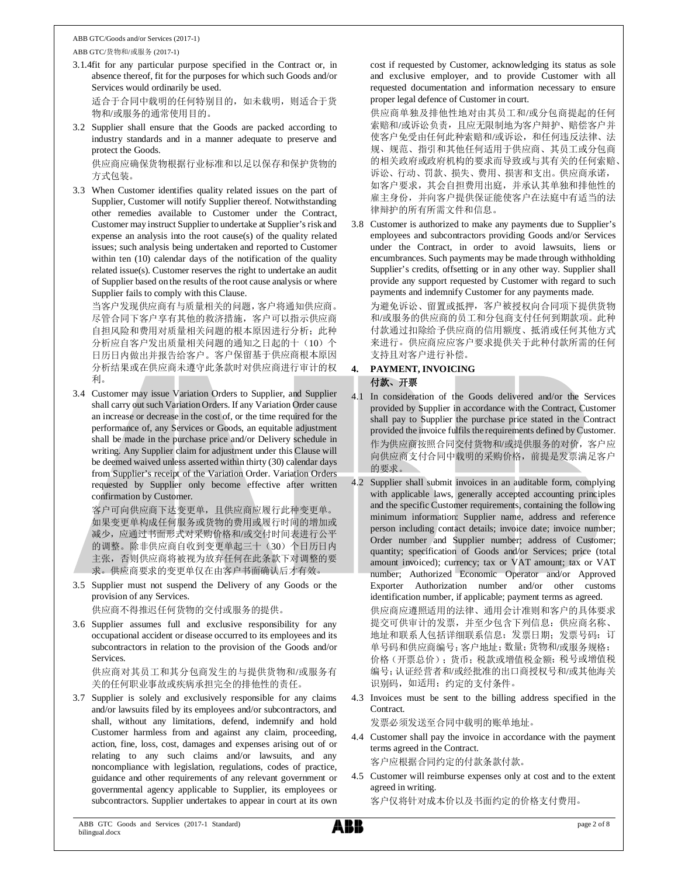#### ABB GTC/Goods and/or Services (2017-1) ABB GTC/货物和/或服务 (2017-1)

3.1.4fit for any particular purpose specified in the Contract or, in absence thereof, fit for the purposes for which such Goods and/or Services would ordinarily be used.

适合于合同中载明的任何特别目的,如未载明,则适合于货 物和/或服务的通常使用目的。

3.2 Supplier shall ensure that the Goods are packed according to industry standards and in a manner adequate to preserve and protect the Goods.

供应商应确保货物根据行业标准和以足以保存和保护货物的 方式包装。

3.3 When Customer identifies quality related issues on the part of Supplier, Customer will notify Supplier thereof. Notwithstanding other remedies available to Customer under the Contract, Customer may instruct Supplier to undertake at Supplier's risk and expense an analysis into the root cause(s) of the quality related issues; such analysis being undertaken and reported to Customer within ten (10) calendar days of the notification of the quality related issue(s). Customer reserves the right to undertake an audit of Supplier based on the results of the root cause analysis or where Supplier fails to comply with this Clause.

当客户发现供应商有与质量相关的问题,客户将通知供应商。 尽管合同下客户享有其他的救济措施,客户可以指示供应商 自担风险和费用对质量相关问题的根本原因进行分析;此种 分析应自客户发出质量相关问题的通知之日起的十(10)个 日历日内做出并报告给客户。客户保留基于供应商根本原因 分析结果或在供应商未遵守此条款时对供应商进行审计的权 利。

3.4 Customer may issue Variation Orders to Supplier, and Supplier shall carry out such Variation Orders. If any Variation Order cause an increase or decrease in the cost of, or the time required for the performance of, any Services or Goods, an equitable adjustment shall be made in the purchase price and/or Delivery schedule in writing. Any Supplier claim for adjustment under this Clause will be deemed waived unless asserted within thirty (30) calendar days from Supplier's receipt of the Variation Order. Variation Orders requested by Supplier only become effective after written confirmation by Customer.

客户可向供应商下达变更单,且供应商应履行此种变更单。 如果变更单构成任何服务或货物的费用或履行时间的增加或 减少,应通过书面形式对采购价格和/或交付时间表进行公平 的调整。除非供应商自收到变更单起三十(30)个日历日内 主张,否则供应商将被视为放弃任何在此条款下对调整的要 求。供应商要求的变更单仅在由客户书面确认后才有效。

3.5 Supplier must not suspend the Delivery of any Goods or the provision of any Services.

供应商不得推迟任何货物的交付或服务的提供。

3.6 Supplier assumes full and exclusive responsibility for any occupational accident or disease occurred to its employees and its subcontractors in relation to the provision of the Goods and/or **Services** 

供应商对其员工和其分包商发生的与提供货物和/或服务有 关的任何职业事故或疾病承担完全的排他性的责任。

3.7 Supplier is solely and exclusively responsible for any claims and/or lawsuits filed by its employees and/or subcontractors, and shall, without any limitations, defend, indemnify and hold Customer harmless from and against any claim, proceeding, action, fine, loss, cost, damages and expenses arising out of or relating to any such claims and/or lawsuits, and any noncompliance with legislation, regulations, codes of practice, guidance and other requirements of any relevant government or governmental agency applicable to Supplier, its employees or subcontractors. Supplier undertakes to appear in court at its own cost if requested by Customer, acknowledging its status as sole and exclusive employer, and to provide Customer with all requested documentation and information necessary to ensure proper legal defence of Customer in court.

供应商单独及排他性地对由其员工和/或分包商提起的任何 索赔和/或诉讼负责,且应无限制地为客户辩护、赔偿客户并 使客户免受由任何此种索赔和/或诉讼,和任何违反法律、法 规、规范、指引和其他任何适用于供应商、其员工或分包商 的相关政府或政府机构的要求而导致或与其有关的任何索赔、 诉讼、行动、罚款、损失、费用、损害和支出。供应商承诺, 如客户要求,其会自担费用出庭,并承认其单独和排他性的 雇主身份,并向客户提供保证能使客户在法庭中有适当的法 律辩护的所有所需文件和信息。

3.8 Customer is authorized to make any payments due to Supplier's employees and subcontractors providing Goods and/or Services under the Contract, in order to avoid lawsuits, liens or encumbrances. Such payments may be made through withholding Supplier's credits, offsetting or in any other way. Supplier shall provide any support requested by Customer with regard to such payments and indemnify Customer for any payments made.

为避免诉讼、留置或抵押,客户被授权向合同项下提供货物 和/或服务的供应商的员工和分包商支付任何到期款项。此种 付款通过扣除给予供应商的信用额度、抵消或任何其他方式 来进行。供应商应应客户要求提供关于此种付款所需的任何 支持且对客户进行补偿。

## **4. PAYMENT, INVOICING** 付款、开票

4.1 In consideration of the Goods delivered and/or the Services provided by Supplier in accordance with the Contract, Customer shall pay to Supplier the purchase price stated in the Contract provided the invoice fulfils the requirements defined by Customer. 作为供应商按照合同交付货物和/或提供服务的对价,客户应 向供应商支付合同中载明的采购价格,前提是发票满足客户 的要求。

4.2 Supplier shall submit invoices in an auditable form, complying with applicable laws, generally accepted accounting principles and the specific Customer requirements, containing the following minimum information: Supplier name, address and reference person including contact details; invoice date; invoice number; Order number and Supplier number; address of Customer; quantity; specification of Goods and/or Services; price (total amount invoiced); currency; tax or VAT amount; tax or VAT number; Authorized Economic Operator and/or Approved Exporter Authorization number and/or other customs identification number, if applicable; payment terms as agreed. 供应商应遵照适用的法律、通用会计准则和客户的具体要求 提交可供审计的发票,并至少包含下列信息:供应商名称、 地址和联系人包括详细联系信息;发票日期;发票号码;订 单号码和供应商编号;客户地址;数量;货物和/或服务规格; 价格(开票总价);货币;税款或增值税金额;税号或增值税 编号;认证经营者和/或经批准的出口商授权号和/或其他海关 识别码,如适用;约定的支付条件。

4.3 Invoices must be sent to the billing address specified in the Contract.

发票必须发送至合同中载明的账单地址。

4.4 Customer shall pay the invoice in accordance with the payment terms agreed in the Contract.

客户应根据合同约定的付款条款付款。

4.5 Customer will reimburse expenses only at cost and to the extent agreed in writing.

客户仅将针对成本价以及书面约定的价格支付费用。

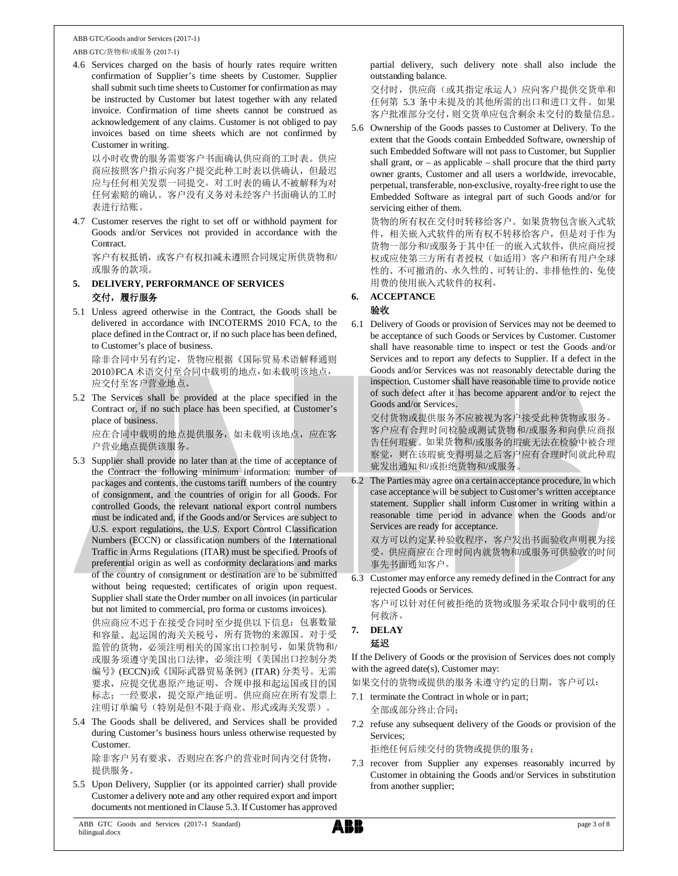ABB GTC/货物和/或服务 (2017-1)

4.6 Services charged on the basis of hourly rates require written confirmation of Supplier's time sheets by Customer. Supplier shall submit such time sheets to Customer for confirmation as may be instructed by Customer but latest together with any related invoice. Confirmation of time sheets cannot be construed as acknowledgement of any claims. Customer is not obliged to pay invoices based on time sheets which are not confirmed by Customer in writing.

以小时收费的服务需要客户书面确认供应商的工时表。供应 商应按照客户指示向客户提交此种工时表以供确认,但最迟 应与任何相关发票一同提交。对工时表的确认不被解释为对 任何索赔的确认。客户没有义务对未经客户书面确认的工时 表进行结账。

4.7 Customer reserves the right to set off or withhold payment for Goods and/or Services not provided in accordance with the Contract.

客户有权抵销,或客户有权扣减未遵照合同规定所供货物和/ 或服务的款项。

- **5. DELIVERY, PERFORMANCE OF SERVICES** 交付,履行服务
- 5.1 Unless agreed otherwise in the Contract, the Goods shall be delivered in accordance with INCOTERMS 2010 FCA, to the place defined in the Contract or, if no such place has been defined, to Customer's place of business.

除非合同中另有约定,货物应根据《国际贸易术语解释通则 2010》FCA术语交付至合同中载明的地点,如未载明该地点, 应交付至客户营业地点。

5.2 The Services shall be provided at the place specified in the Contract or, if no such place has been specified, at Customer's place of business.

应在合同中载明的地点提供服务,如未载明该地点,应在客 户营业地点提供该服务。

- 5.3 Supplier shall provide no later than at the time of acceptance of the Contract the following minimum information: number of packages and contents, the customs tariff numbers of the country of consignment, and the countries of origin for all Goods. For controlled Goods, the relevant national export control numbers must be indicated and, if the Goods and/or Services are subject to U.S. export regulations, the U.S. Export Control Classification Numbers (ECCN) or classification numbers of the International Traffic in Arms Regulations (ITAR) must be specified. Proofs of preferential origin as well as conformity declarations and marks of the country of consignment or destination are to be submitted without being requested; certificates of origin upon request. Supplier shall state the Order number on all invoices (in particular but not limited to commercial, pro forma or customs invoices). 供应商应不迟于在接受合同时至少提供以下信息:包裹数量 和容量、起运国的海关关税号,所有货物的来源国。对于受 监管的货物,必须注明相关的国家出口控制号,如果货物和/ 或服务须遵守美国出口法律,必须注明《美国出口控制分类 编号》(ECCN)或《国际武器贸易条例》(ITAR) 分类号。无需 要求,应提交优惠原产地证明、合规申报和起运国或目的国 标志;一经要求,提交原产地证明。供应商应在所有发票上 注明订单编号(特别是但不限于商业、形式或海关发票)。
- 5.4 The Goods shall be delivered, and Services shall be provided during Customer's business hours unless otherwise requested by Customer.

除非客户另有要求,否则应在客户的营业时间内交付货物, 提供服务。

5.5 Upon Delivery, Supplier (or its appointed carrier) shall provide Customer a delivery note and any other required export and import documents not mentioned in Clause 5.3. If Customer has approved

partial delivery, such delivery note shall also include the outstanding balance.

交付时,供应商(或其指定承运人)应向客户提供交货单和 任何第 5.3 条中未提及的其他所需的出口和进口文件。如果 客户批准部分交付,则交货单应包含剩余未交付的数量信息。

5.6 Ownership of the Goods passes to Customer at Delivery. To the extent that the Goods contain Embedded Software, ownership of such Embedded Software will not pass to Customer, but Supplier shall grant, or  $-$  as applicable  $-$  shall procure that the third party owner grants, Customer and all users a worldwide, irrevocable, perpetual, transferable, non-exclusive, royalty-free right to use the Embedded Software as integral part of such Goods and/or for servicing either of them.

货物的所有权在交付时转移给客户。如果货物包含嵌入式软 件,相关嵌入式软件的所有权不转移给客户,但是对于作为 货物一部分和/或服务于其中任一的嵌入式软件,供应商应授 权或应使第三方所有者授权(如适用)客户和所有用户全球 性的、不可撤消的、永久性的、可转让的、非排他性的、免使 用费的使用嵌入式软件的权利。

### **6. ACCEPTANCE**

### 验收

6.1 Delivery of Goods or provision of Services may not be deemed to be acceptance of such Goods or Services by Customer. Customer shall have reasonable time to inspect or test the Goods and/or Services and to report any defects to Supplier. If a defect in the Goods and/or Services was not reasonably detectable during the inspection, Customer shall have reasonable time to provide notice of such defect after it has become apparent and/or to reject the Goods and/or Services.

交付货物或提供服务不应被视为客户接受此种货物或服务。 客户应有合理时间检验或测试货物和/或服务和向供应商报 告任何瑕疵。如果货物和/或服务的瑕疵无法在检验中被合理 察觉,则在该瑕疵变得明显之后客户应有合理时间就此种瑕 疵发出通知和/或拒绝货物和/或服务。

6.2 The Parties may agree on a certain acceptance procedure, in which case acceptance will be subject to Customer's written acceptance statement. Supplier shall inform Customer in writing within a reasonable time period in advance when the Goods and/or Services are ready for acceptance.

双方可以约定某种验收程序,客户发出书面验收声明视为接 受。供应商应在合理时间内就货物和/或服务可供验收的时间 事先书面通知客户。

6.3 Customer may enforce any remedy defined in the Contract for any rejected Goods or Services.

客户可以针对任何被拒绝的货物或服务采取合同中载明的任 何救济。

#### **7. DELAY** 延迟

If the Delivery of Goods or the provision of Services does not comply with the agreed date(s), Customer may:

如果交付的货物或提供的服务未遵守约定的日期,客户可以:

- 7.1 terminate the Contract in whole or in part; 全部或部分终止合同;
- 7.2 refuse any subsequent delivery of the Goods or provision of the Services;

拒绝任何后续交付的货物或提供的服务;

7.3 recover from Supplier any expenses reasonably incurred by Customer in obtaining the Goods and/or Services in substitution from another supplier;

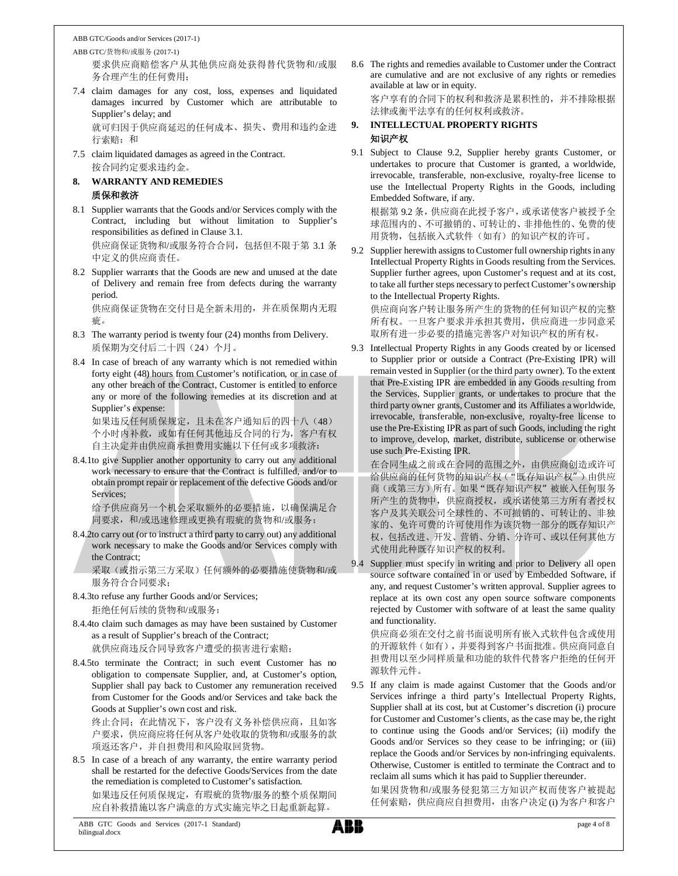ABB GTC/货物和/或服务 (2017-1) 要求供应商赔偿客户从其他供应商处获得替代货物和/或服 务合理产生的任何费用;

- 7.4 claim damages for any cost, loss, expenses and liquidated damages incurred by Customer which are attributable to Supplier's delay; and 就可归因于供应商延迟的任何成本、损失、费用和违约金进
- 行索赔;和 7.5 claim liquidated damages as agreed in the Contract.
	- 按合同约定要求违约金。

## **8. WARRANTY AND REMEDIES** 质保和救济

- 8.1 Supplier warrants that the Goods and/or Services comply with the Contract, including but without limitation to Supplier's responsibilities as defined in Clause 3.1. 供应商保证货物和/或服务符合合同,包括但不限于第 3.1 条 中定义的供应商责任。
- 8.2 Supplier warrants that the Goods are new and unused at the date of Delivery and remain free from defects during the warranty period.

供应商保证货物在交付日是全新未用的,并在质保期内无瑕 疵。

- 8.3 The warranty period is twenty four (24) months from Delivery. 质保期为交付后二十四(24)个月。
- 8.4 In case of breach of any warranty which is not remedied within forty eight (48) hours from Customer's notification, or in case of any other breach of the Contract, Customer is entitled to enforce any or more of the following remedies at its discretion and at Supplier's expense:

如果违反任何质保规定,且未在客户通知后的四十八(48) 个小时内补救,或如有任何其他违反合同的行为,客户有权 自主决定并由供应商承担费用实施以下任何或多项救济:

8.4.1to give Supplier another opportunity to carry out any additional work necessary to ensure that the Contract is fulfilled, and/or to obtain prompt repair or replacement of the defective Goods and/or Services;

给予供应商另一个机会采取额外的必要措施,以确保满足合 同要求,和/或迅速修理或更换有瑕疵的货物和/或服务;

8.4.2to carry out (or to instruct a third party to carry out) any additional work necessary to make the Goods and/or Services comply with the Contract;

采取(或指示第三方采取)任何额外的必要措施使货物和/或 服务符合合同要求;

8.4.3to refuse any further Goods and/or Services; 拒绝任何后续的货物和/或服务;

8.4.4to claim such damages as may have been sustained by Customer as a result of Supplier's breach of the Contract; 就供应商违反合同导致客户遭受的损害进行索赔;

8.4.5to terminate the Contract; in such event Customer has no obligation to compensate Supplier, and, at Customer's option, Supplier shall pay back to Customer any remuneration received from Customer for the Goods and/or Services and take back the Goods at Supplier's own cost and risk.

终止合同;在此情况下,客户没有义务补偿供应商,且如客 户要求,供应商应将任何从客户处收取的货物和/或服务的款 项返还客户,并自担费用和风险取回货物。

8.5 In case of a breach of any warranty, the entire warranty period shall be restarted for the defective Goods/Services from the date the remediation is completed to Customer's satisfaction. 如果违反任何质保规定,有瑕疵的货物/服务的整个质保期间 应自补救措施以客户满意的方式实施完毕之日起重新起算。

8.6 The rights and remedies available to Customer under the Contract are cumulative and are not exclusive of any rights or remedies available at law or in equity.

客户享有的合同下的权利和救济是累积性的,并不排除根据 法律或衡平法享有的任何权利或救济。

## **9. INTELLECTUAL PROPERTY RIGHTS** 知识产权

9.1 Subject to Clause 9.2, Supplier hereby grants Customer, or undertakes to procure that Customer is granted, a worldwide, irrevocable, transferable, non-exclusive, royalty-free license to use the Intellectual Property Rights in the Goods, including Embedded Software, if any.

根据第 9.2 条,供应商在此授予客户,或承诺使客户被授予全 球范围内的、不可撤销的、可转让的、非排他性的、免费的使 用货物,包括嵌入式软件(如有)的知识产权的许可。

9.2 Supplier herewith assigns to Customer full ownership rights in any Intellectual Property Rights in Goods resulting from the Services. Supplier further agrees, upon Customer's request and at its cost, to take all further steps necessary to perfect Customer's ownership to the Intellectual Property Rights.

供应商向客户转让服务所产生的货物的任何知识产权的完整 所有权。一旦客户要求并承担其费用,供应商进一步同意采 取所有进一步必要的措施完善客户对知识产权的所有权。

9.3 Intellectual Property Rights in any Goods created by or licensed to Supplier prior or outside a Contract (Pre-Existing IPR) will remain vested in Supplier (or the third party owner). To the extent that Pre-Existing IPR are embedded in any Goods resulting from the Services, Supplier grants, or undertakes to procure that the third party owner grants, Customer and its Affiliates a worldwide, irrevocable, transferable, non-exclusive, royalty-free license to use the Pre-Existing IPR as part of such Goods, including the right to improve, develop, market, distribute, sublicense or otherwise use such Pre-Existing IPR.

在合同生成之前或在合同的范围之外,由供应商创造或许可 给供应商的任何货物的知识产权("既存知识产权")由供应 商(或第三方)所有。如果"既存知识产权"被嵌入任何服务 所产生的货物中,供应商授权,或承诺使第三方所有者授权 客户及其关联公司全球性的、不可撤销的、可转让的、非独 家的、免许可费的许可使用作为该货物一部分的既存知识产 权,包括改进、开发、营销、分销、分许可、或以任何其他方 式使用此种既存知识产权的权利。

9.4 Supplier must specify in writing and prior to Delivery all open source software contained in or used by Embedded Software, if any, and request Customer's written approval. Supplier agrees to replace at its own cost any open source software components rejected by Customer with software of at least the same quality and functionality.

供应商必须在交付之前书面说明所有嵌入式软件包含或使用 的开源软件(如有),并要得到客户书面批准。供应商同意自 担费用以至少同样质量和功能的软件代替客户拒绝的任何开 源软件元件。

9.5 If any claim is made against Customer that the Goods and/or Services infringe a third party's Intellectual Property Rights, Supplier shall at its cost, but at Customer's discretion (i) procure for Customer and Customer's clients, as the case may be, the right to continue using the Goods and/or Services; (ii) modify the Goods and/or Services so they cease to be infringing; or (iii) replace the Goods and/or Services by non-infringing equivalents. Otherwise, Customer is entitled to terminate the Contract and to reclaim all sums which it has paid to Supplier thereunder.

如果因货物和/或服务侵犯第三方知识产权而使客户被提起 任何索赔,供应商应自担费用, 由客户决定(i)为客户和客户

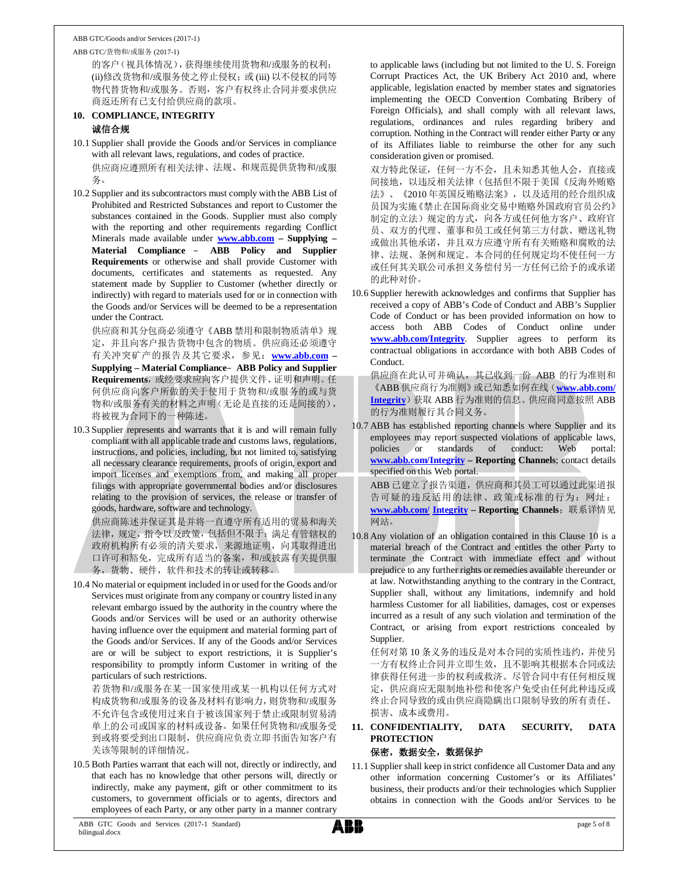ABB GTC/货物和/或服务 (2017-1)

的客户(视具体情况),获得继续使用货物和/或服务的权利; (ii)修改货物和/或服务使之停止侵权;或 (iii) 以不侵权的同等 物代替货物和/或服务。否则,客户有权终止合同并要求供应 商返还所有已支付给供应商的款项。

#### **10. COMPLIANCE, INTEGRITY** 诚信合规

- 10.1 Supplier shall provide the Goods and/or Services in compliance with all relevant laws, regulations, and codes of practice. 供应商应遵照所有相关法律、法规、和规范提供货物和/或服 务。
- 10.2 Supplier and its subcontractors must comply with the ABB List of Prohibited and Restricted Substances and report to Customer the substances contained in the Goods. Supplier must also comply with the reporting and other requirements regarding Conflict Minerals made available under **www.abb.com – Supplying – Material Compliance** – **ABB Policy and Supplier Requirements** or otherwise and shall provide Customer with documents, certificates and statements as requested. Any statement made by Supplier to Customer (whether directly or indirectly) with regard to materials used for or in connection with the Goods and/or Services will be deemed to be a representation under the Contract.

供应商和其分包商必须遵守《ABB 禁用和限制物质清单》规 定,并且向客户报告货物中包含的物质。供应商还必须遵守 有关冲突矿产的报告及其它要求,参见:**www.abb.com – Supplying – Material Compliance**–**ABB Policy and Supplier** Requirements, 或经要求应向客户提供文件、证明和声明。任 何供应商向客户所做的关于使用于货物和/或服务的或与货 物和/或服务有关的材料之声明(无论是直接的还是间接的), 将被视为合同下的一种陈述。

10.3 Supplier represents and warrants that it is and will remain fully compliant with all applicable trade and customs laws, regulations, instructions, and policies, including, but not limited to, satisfying all necessary clearance requirements, proofs of origin, export and import licenses and exemptions from, and making all proper filings with appropriate governmental bodies and/or disclosures relating to the provision of services, the release or transfer of goods, hardware, software and technology.

供应商陈述并保证其是并将一直遵守所有适用的贸易和海关 法律,规定,指令以及政策,包括但不限于:满足有管辖权的 政府机构所有必须的清关要求,来源地证明,向其取得进出 口许可和豁免,完成所有适当的备案,和/或披露有关提供服 务,货物、硬件,软件和技术的转让或转移。

10.4 No material or equipment included in or used for the Goods and/or Services must originate from any company or country listed in any relevant embargo issued by the authority in the country where the Goods and/or Services will be used or an authority otherwise having influence over the equipment and material forming part of the Goods and/or Services. If any of the Goods and/or Services are or will be subject to export restrictions, it is Supplier's responsibility to promptly inform Customer in writing of the particulars of such restrictions.

若货物和/或服务在某一国家使用或某一机构以任何方式对 构成货物和/或服务的设备及材料有影响力,则货物和/或服务 不允许包含或使用过来自于被该国家列于禁止或限制贸易清 单上的公司或国家的材料或设备。如果任何货物和/或服务受 到或将要受到出口限制,供应商应负责立即书面告知客户有 关该等限制的详细情况。

10.5 Both Parties warrant that each will not, directly or indirectly, and that each has no knowledge that other persons will, directly or indirectly, make any payment, gift or other commitment to its customers, to government officials or to agents, directors and employees of each Party, or any other party in a manner contrary

to applicable laws (including but not limited to the U. S. Foreign Corrupt Practices Act, the UK Bribery Act 2010 and, where applicable, legislation enacted by member states and signatories implementing the OECD Convention Combating Bribery of Foreign Officials), and shall comply with all relevant laws, regulations, ordinances and rules regarding bribery and corruption. Nothing in the Contract will render either Party or any of its Affiliates liable to reimburse the other for any such consideration given or promised.

双方特此保证,任何一方不会,且未知悉其他人会,直接或 间接地,以违反相关法律(包括但不限于美国《反海外贿赂 法》、《2010 年英国反贿赂法案》,以及适用的经合组织成 员国为实施《禁止在国际商业交易中贿赂外国政府官员公约》 制定的立法)规定的方式,向各方或任何他方客户、政府官 员、双方的代理、董事和员工或任何第三方付款、赠送礼物 或做出其他承诺,并且双方应遵守所有有关贿赂和腐败的法 律、法规、条例和规定。本合同的任何规定均不使任何一方 或任何其关联公司承担义务偿付另一方任何已给予的或承诺 的此种对价。

10.6 Supplier herewith acknowledges and confirms that Supplier has received a copy of ABB's Code of Conduct and ABB's Supplier Code of Conduct or has been provided information on how to access both ABB Codes of Conduct online under **www.abb.com/Integrity**. Supplier agrees to perform its contractual obligations in accordance with both ABB Codes of Conduct.

供应商在此认可并确认,其已收到一份 ABB 的行为准则和 《ABB 供应商行为准则》或已知悉如何在线(**www.abb.com/ Integrity**)获取 ABB 行为准则的信息。供应商同意按照 ABB 的行为准则履行其合同义务。

10.7 ABB has established reporting channels where Supplier and its employees may report suspected violations of applicable laws, policies or standards of conduct: Web portal: **www.abb.com/Integrity – Reporting Channels**; contact details specified on this Web portal.

ABB 已建立了报告渠道,供应商和其员工可以通过此渠道报 告可疑的违反适用的法律、政策或标准的行为:网址: **www.abb.com/ Integrity – Reporting Channels**;联系详情见 网站。

10.8 Any violation of an obligation contained in this Clause 10 is a material breach of the Contract and entitles the other Party to terminate the Contract with immediate effect and without prejudice to any further rights or remedies available thereunder or at law. Notwithstanding anything to the contrary in the Contract, Supplier shall, without any limitations, indemnify and hold harmless Customer for all liabilities, damages, cost or expenses incurred as a result of any such violation and termination of the Contract, or arising from export restrictions concealed by Supplier.

任何对第 10 条义务的违反是对本合同的实质性违约,并使另 一方有权终止合同并立即生效,且不影响其根据本合同或法 律获得任何进一步的权利或救济。尽管合同中有任何相反规 定,供应商应无限制地补偿和使客户免受由任何此种违反或 终止合同导致的或由供应商隐瞒出口限制导致的所有责任、 损害、成本或费用。

## **11. CONFIDENTIALITY, DATA SECURITY, DATA PROTECTION**

## 保密,数据安全,数据保护

11.1 Supplier shall keep in strict confidence all Customer Data and any other information concerning Customer's or its Affiliates' business, their products and/or their technologies which Supplier obtains in connection with the Goods and/or Services to be

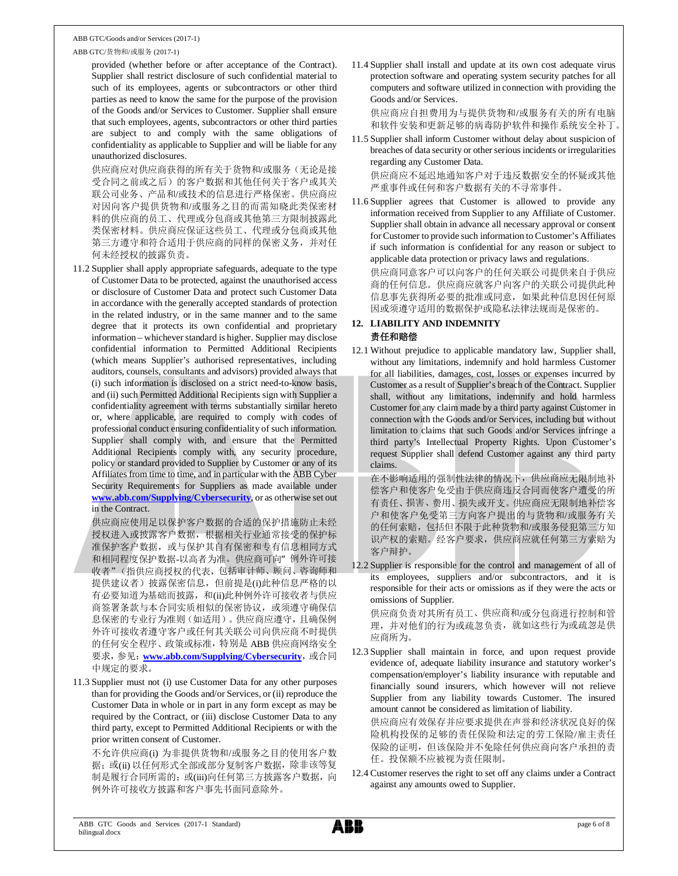#### ABB GTC/货物和/或服务 (2017-1)

provided (whether before or after acceptance of the Contract). Supplier shall restrict disclosure of such confidential material to such of its employees, agents or subcontractors or other third parties as need to know the same for the purpose of the provision of the Goods and/or Services to Customer. Supplier shall ensure that such employees, agents, subcontractors or other third parties are subject to and comply with the same obligations of confidentiality as applicable to Supplier and will be liable for any unauthorized disclosures.

供应商应对供应商获得的所有关于货物和/或服务(无论是接 受合同之前或之后)的客户数据和其他任何关于客户或其关 联公司业务、产品和/或技术的信息进行严格保密。供应商应 对因向客户提供货物和/或服务之目的而需知晓此类保密材 料的供应商的员工、代理或分包商或其他第三方限制披露此 类保密材料。供应商应保证这些员工、代理或分包商或其他 第三方遵守和符合适用于供应商的同样的保密义务,并对任 何未经授权的披露负责。

- 11.2 Supplier shall apply appropriate safeguards, adequate to the type of Customer Data to be protected, against the unauthorised access or disclosure of Customer Data and protect such Customer Data in accordance with the generally accepted standards of protection in the related industry, or in the same manner and to the same degree that it protects its own confidential and proprietary information – whichever standard is higher. Supplier may disclose confidential information to Permitted Additional Recipients (which means Supplier's authorised representatives, including auditors, counsels, consultants and advisors) provided always that (i) such information is disclosed on a strict need-to-know basis, and (ii) such Permitted Additional Recipients sign with Supplier a confidentiality agreement with terms substantially similar hereto or, where applicable, are required to comply with codes of professional conduct ensuring confidentiality of such information. Supplier shall comply with, and ensure that the Permitted Additional Recipients comply with, any security procedure, policy or standard provided to Supplier by Customer or any of its Affiliates from time to time, and in particular with the ABB Cyber Security Requirements for Suppliers as made available under **www.abb.com/Supplying/Cybersecurity**, or as otherwise set out in the Contract.
	- 供应商应使用足以保护客户数据的合适的保护措施防止未经 授权进入或披露客户数据,根据相关行业通常接受的保护标 准保护客户数据,或与保护其自有保密和专有信息相同方式 和相同程度保护数据-以高者为准。供应商可向"例外许可接 收者"(指供应商授权的代表,包括审计师、顾问、咨询师和 提供建议者)披露保密信息,但前提是(i)此种信息严格的以 有必要知道为基础而披露,和(ii)此种例外许可接收者与供应 商签署条款与本合同实质相似的保密协议,或须遵守确保信 息保密的专业行为准则(如适用)。供应商应遵守,且确保例 外许可接收者遵守客户或任何其关联公司向供应商不时提供 的任何安全程序、政策或标准,特别是 ABB 供应商网络安全 要求,参见: www.abb.com/Supplying/Cybersecurity, 或合同 中规定的要求。
- 11.3 Supplier must not (i) use Customer Data for any other purposes than for providing the Goods and/or Services, or (ii) reproduce the Customer Data in whole or in part in any form except as may be required by the Contract, or (iii) disclose Customer Data to any third party, except to Permitted Additional Recipients or with the prior written consent of Customer.

不允许供应商(i) 为非提供货物和/或服务之目的使用客户数 据; 或(ii) 以任何形式全部或部分复制客户数据, 除非该等复 制是履行合同所需的; 或(iii)向任何第三方披露客户数据, 向 例外许可接收方披露和客户事先书面同意除外。

11.4 Supplier shall install and update at its own cost adequate virus protection software and operating system security patches for all computers and software utilized in connection with providing the Goods and/or Services.

供应商应自担费用为与提供货物和/或服务有关的所有电脑 和软件安装和更新足够的病毒防护软件和操作系统安全补丁。

- 11.5 Supplier shall inform Customer without delay about suspicion of breaches of data security or other serious incidents or irregularities regarding any Customer Data. 供应商应不延迟地通知客户对于违反数据安全的怀疑或其他 严重事件或任何和客户数据有关的不寻常事件。
- 11.6 Supplier agrees that Customer is allowed to provide any information received from Supplier to any Affiliate of Customer. Supplier shall obtain in advance all necessary approval or consent for Customer to provide such information to Customer's Affiliates if such information is confidential for any reason or subject to applicable data protection or privacy laws and regulations. 供应商同意客户可以向客户的任何关联公司提供来自于供应 商的任何信息。供应商应就客户向客户的关联公司提供此种 信息事先获得所必要的批准或同意,如果此种信息因任何原 因或须遵守适用的数据保护或隐私法律法规而是保密的。

#### **12. LIABILITY AND INDEMNITY** 责任和赔偿

12.1 Without prejudice to applicable mandatory law, Supplier shall, without any limitations, indemnify and hold harmless Customer for all liabilities, damages, cost, losses or expenses incurred by Customer as a result of Supplier's breach of the Contract. Supplier shall, without any limitations, indemnify and hold harmless Customer for any claim made by a third party against Customer in connection with the Goods and/or Services, including but without limitation to claims that such Goods and/or Services infringe a third party's Intellectual Property Rights. Upon Customer's request Supplier shall defend Customer against any third party claims.

在不影响适用的强制性法律的情况下,供应商应无限制地补 偿客户和使客户免受由于供应商违反合同而使客户遭受的所 有责任、损害、费用、损失或开支。供应商应无限制地补偿客 户和使客户免受第三方向客户提出的与货物和/或服务有关 的任何索赔,包括但不限于此种货物和/或服务侵犯第三方知 识产权的索赔。经客户要求,供应商应就任何第三方索赔为 客户辩护。

12.2 Supplier is responsible for the control and management of all of its employees, suppliers and/or subcontractors, and it is responsible for their acts or omissions as if they were the acts or omissions of Supplier.

供应商负责对其所有员工、供应商和/或分包商进行控制和管 理,并对他们的行为或疏忽负责,就如这些行为或疏忽是供 应商所为。

- 12.3 Supplier shall maintain in force, and upon request provide evidence of, adequate liability insurance and statutory worker's compensation/employer's liability insurance with reputable and financially sound insurers, which however will not relieve Supplier from any liability towards Customer. The insured amount cannot be considered as limitation of liability. 供应商应有效保存并应要求提供在声誉和经济状况良好的保 险机构投保的足够的责任保险和法定的劳工保险/雇主责任 保险的证明,但该保险并不免除任何供应商向客户承担的责 任。投保额不应被视为责任限制。
- 12.4 Customer reserves the right to set off any claims under a Contract against any amounts owed to Supplier.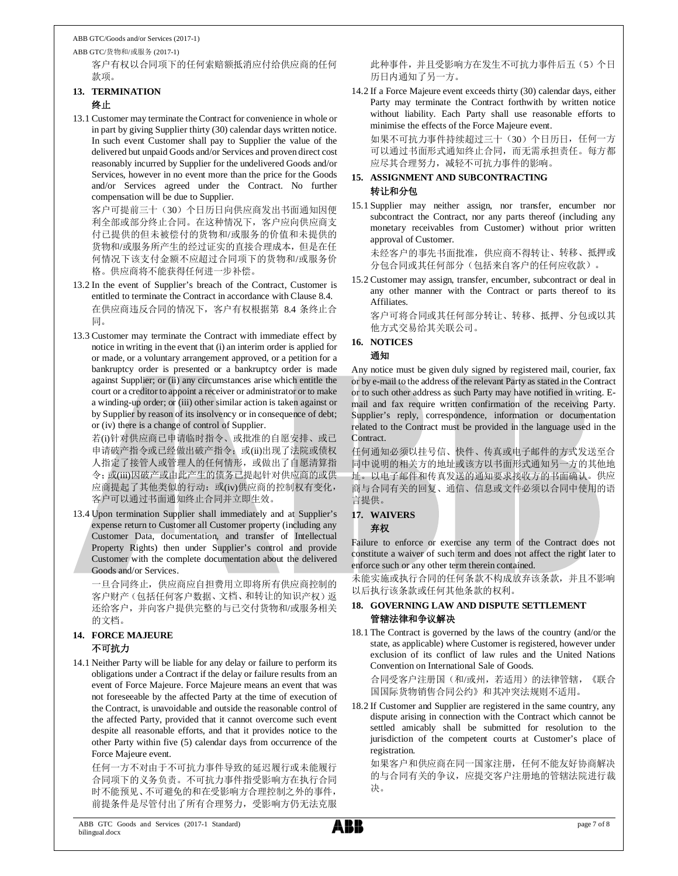ABB GTC/货物和/或服务 (2017-1)

客户有权以合同项下的任何索赔额抵消应付给供应商的任何 款项。

## **13. TERMINATION**

### 终止

13.1 Customer may terminate the Contract for convenience in whole or in part by giving Supplier thirty (30) calendar days written notice. In such event Customer shall pay to Supplier the value of the delivered but unpaid Goods and/or Services and proven direct cost reasonably incurred by Supplier for the undelivered Goods and/or Services, however in no event more than the price for the Goods and/or Services agreed under the Contract. No further compensation will be due to Supplier.

客户可提前三十(30)个日历日向供应商发出书面通知因便 利全部或部分终止合同。在这种情况下,客户应向供应商支 付已提供的但未被偿付的货物和/或服务的价值和未提供的 货物和/或服务所产生的经过证实的直接合理成本,但是在任 何情况下该支付金额不应超过合同项下的货物和/或服务价 格。供应商将不能获得任何进一步补偿。

- 13.2 In the event of Supplier's breach of the Contract, Customer is entitled to terminate the Contract in accordance with Clause 8.4. 在供应商违反合同的情况下,客户有权根据第 8.4 条终止合 同。
- 13.3 Customer may terminate the Contract with immediate effect by notice in writing in the event that (i) an interim order is applied for or made, or a voluntary arrangement approved, or a petition for a bankruptcy order is presented or a bankruptcy order is made against Supplier; or (ii) any circumstances arise which entitle the court or a creditor to appoint a receiver or administrator or to make a winding-up order; or (iii) other similar action is taken against or by Supplier by reason of its insolvency or in consequence of debt; or (iv) there is a change of control of Supplier.

若(i)针对供应商已申请临时指令、或批准的自愿安排、或已 申请破产指令或已经做出破产指令; 或(ii)出现了法院或债权 人指定了接管人或管理人的任何情形,或做出了自愿清算指 令;或(iii)因破产或由此产生的债务已提起针对供应商的或供 应商提起了其他类似的行动;或(iv)供应商的控制权有变化, 客户可以通过书面通知终止合同并立即生效。

13.4 Upon termination Supplier shall immediately and at Supplier's expense return to Customer all Customer property (including any Customer Data, documentation, and transfer of Intellectual Property Rights) then under Supplier's control and provide Customer with the complete documentation about the delivered Goods and/or Services.

一旦合同终止,供应商应自担费用立即将所有供应商控制的 客户财产(包括任何客户数据、文档、和转让的知识产权)返 还给客户,并向客户提供完整的与已交付货物和/或服务相关 的文档。

## **14. FORCE MAJEURE** 不可抗力

14.1 Neither Party will be liable for any delay or failure to perform its obligations under a Contract if the delay or failure results from an event of Force Majeure. Force Majeure means an event that was not foreseeable by the affected Party at the time of execution of the Contract, is unavoidable and outside the reasonable control of the affected Party, provided that it cannot overcome such event despite all reasonable efforts, and that it provides notice to the other Party within five (5) calendar days from occurrence of the Force Majeure event.

任何一方不对由于不可抗力事件导致的延迟履行或未能履行 合同项下的义务负责。不可抗力事件指受影响方在执行合同 时不能预见、不可避免的和在受影响方合理控制之外的事件, 前提条件是尽管付出了所有合理努力,受影响方仍无法克服 此种事件,并且受影响方在发生不可抗力事件后五(5)个日 历日内通知了另一方。

14.2 If a Force Majeure event exceeds thirty (30) calendar days, either Party may terminate the Contract forthwith by written notice without liability. Each Party shall use reasonable efforts to minimise the effects of the Force Majeure event. 如果不可抗力事件持续超过三十(30)个日历日,任何一方

可以通过书面形式通知终止合同,而无需承担责任。每方都 应尽其合理努力,减轻不可抗力事件的影响。

#### **15. ASSIGNMENT AND SUBCONTRACTING** 转让和分包

15.1 Supplier may neither assign, nor transfer, encumber nor subcontract the Contract, nor any parts thereof (including any monetary receivables from Customer) without prior written approval of Customer.

未经客户的事先书面批准,供应商不得转让、转移、抵押或 分包合同或其任何部分(包括来自客户的任何应收款)。

15.2 Customer may assign, transfer, encumber, subcontract or deal in any other manner with the Contract or parts thereof to its Affiliates.

客户可将合同或其任何部分转让、转移、抵押、分包或以其 他方式交易给其关联公司。

**16. NOTICES**

## 通知

Any notice must be given duly signed by registered mail, courier, fax or by e-mail to the address of the relevant Party as stated in the Contract or to such other address as such Party may have notified in writing. Email and fax require written confirmation of the receiving Party. Supplier's reply, correspondence, information or documentation related to the Contract must be provided in the language used in the Contract.

任何通知必须以挂号信、快件、传真或电子邮件的方式发送至合 同中说明的相关方的地址或该方以书面形式通知另一方的其他地 址。以电子邮件和传真发送的通知要求接收方的书面确认。供应 商与合同有关的回复、通信、信息或文件必须以合同中使用的语 言提供。

**17. WAIVERS**

弃权

Failure to enforce or exercise any term of the Contract does not constitute a waiver of such term and does not affect the right later to enforce such or any other term therein contained.

未能实施或执行合同的任何条款不构成放弃该条款,并且不影响 以后执行该条款或任何其他条款的权利。

### **18. GOVERNING LAW AND DISPUTE SETTLEMENT** 管辖法律和争议解决

18.1 The Contract is governed by the laws of the country (and/or the state, as applicable) where Customer is registered, however under exclusion of its conflict of law rules and the United Nations Convention on International Sale of Goods.

合同受客户注册国(和/或州,若适用)的法律管辖,《联合 国国际货物销售合同公约》和其冲突法规则不适用。

18.2 If Customer and Supplier are registered in the same country, any dispute arising in connection with the Contract which cannot be settled amicably shall be submitted for resolution to the jurisdiction of the competent courts at Customer's place of registration.

如果客户和供应商在同一国家注册,任何不能友好协商解决 的与合同有关的争议,应提交客户注册地的管辖法院进行裁 决。

**ABB**